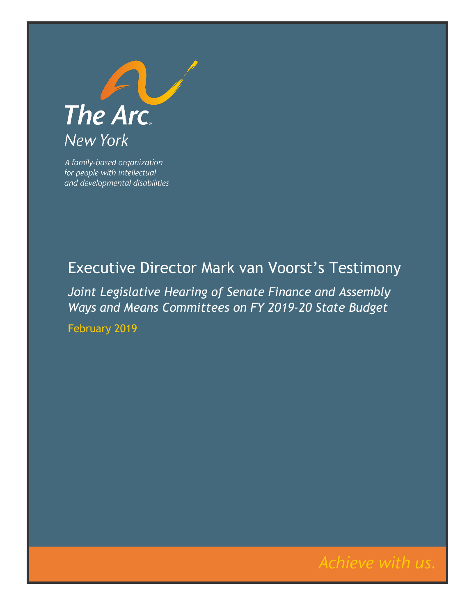

A family-based organization for people with intellectual and developmental disabilities

## Executive Director Mark van Voorst's Testimony

*Joint Legislative Hearing of Senate Finance and Assembly Ways and Means Committees on FY 2019-20 State Budget*

February 2019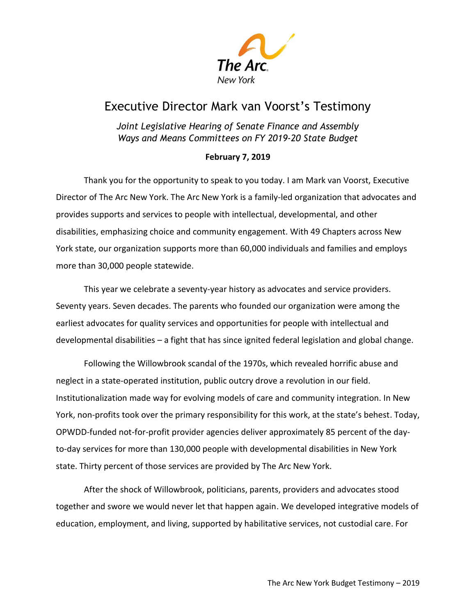

## Executive Director Mark van Voorst's Testimony

*Joint Legislative Hearing of Senate Finance and Assembly Ways and Means Committees on FY 2019-20 State Budget*

## **February 7, 2019**

Thank you for the opportunity to speak to you today. I am Mark van Voorst, Executive Director of The Arc New York. The Arc New York is a family-led organization that advocates and provides supports and services to people with intellectual, developmental, and other disabilities, emphasizing choice and community engagement. With 49 Chapters across New York state, our organization supports more than 60,000 individuals and families and employs more than 30,000 people statewide.

This year we celebrate a seventy-year history as advocates and service providers. Seventy years. Seven decades. The parents who founded our organization were among the earliest advocates for quality services and opportunities for people with intellectual and developmental disabilities – a fight that has since ignited federal legislation and global change.

Following the Willowbrook scandal of the 1970s, which revealed horrific abuse and neglect in a state-operated institution, public outcry drove a revolution in our field. Institutionalization made way for evolving models of care and community integration. In New York, non-profits took over the primary responsibility for this work, at the state's behest. Today, OPWDD-funded not-for-profit provider agencies deliver approximately 85 percent of the dayto-day services for more than 130,000 people with developmental disabilities in New York state. Thirty percent of those services are provided by The Arc New York.

After the shock of Willowbrook, politicians, parents, providers and advocates stood together and swore we would never let that happen again. We developed integrative models of education, employment, and living, supported by habilitative services, not custodial care. For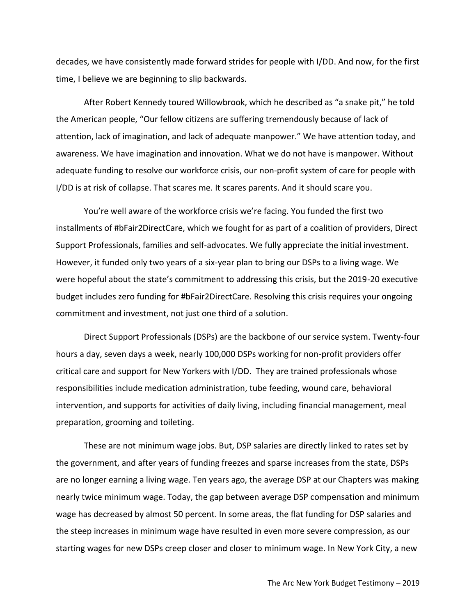decades, we have consistently made forward strides for people with I/DD. And now, for the first time, I believe we are beginning to slip backwards.

After Robert Kennedy toured Willowbrook, which he described as "a snake pit," he told the American people, "Our fellow citizens are suffering tremendously because of lack of attention, lack of imagination, and lack of adequate manpower." We have attention today, and awareness. We have imagination and innovation. What we do not have is manpower. Without adequate funding to resolve our workforce crisis, our non-profit system of care for people with I/DD is at risk of collapse. That scares me. It scares parents. And it should scare you.

You're well aware of the workforce crisis we're facing. You funded the first two installments of #bFair2DirectCare, which we fought for as part of a coalition of providers, Direct Support Professionals, families and self-advocates. We fully appreciate the initial investment. However, it funded only two years of a six-year plan to bring our DSPs to a living wage. We were hopeful about the state's commitment to addressing this crisis, but the 2019-20 executive budget includes zero funding for #bFair2DirectCare. Resolving this crisis requires your ongoing commitment and investment, not just one third of a solution.

Direct Support Professionals (DSPs) are the backbone of our service system. Twenty-four hours a day, seven days a week, nearly 100,000 DSPs working for non-profit providers offer critical care and support for New Yorkers with I/DD. They are trained professionals whose responsibilities include medication administration, tube feeding, wound care, behavioral intervention, and supports for activities of daily living, including financial management, meal preparation, grooming and toileting.

These are not minimum wage jobs. But, DSP salaries are directly linked to rates set by the government, and after years of funding freezes and sparse increases from the state, DSPs are no longer earning a living wage. Ten years ago, the average DSP at our Chapters was making nearly twice minimum wage. Today, the gap between average DSP compensation and minimum wage has decreased by almost 50 percent. In some areas, the flat funding for DSP salaries and the steep increases in minimum wage have resulted in even more severe compression, as our starting wages for new DSPs creep closer and closer to minimum wage. In New York City, a new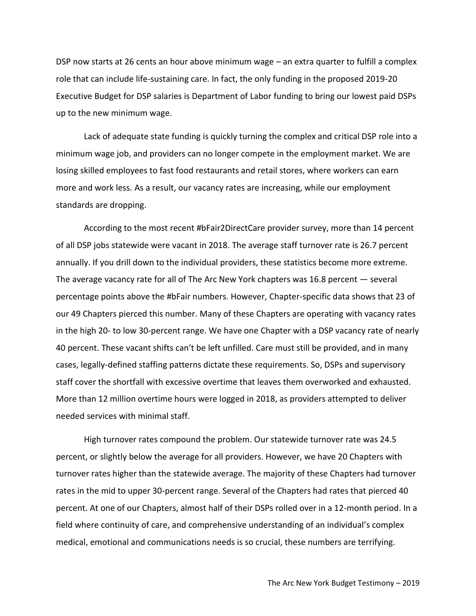DSP now starts at 26 cents an hour above minimum wage – an extra quarter to fulfill a complex role that can include life-sustaining care. In fact, the only funding in the proposed 2019-20 Executive Budget for DSP salaries is Department of Labor funding to bring our lowest paid DSPs up to the new minimum wage.

Lack of adequate state funding is quickly turning the complex and critical DSP role into a minimum wage job, and providers can no longer compete in the employment market. We are losing skilled employees to fast food restaurants and retail stores, where workers can earn more and work less. As a result, our vacancy rates are increasing, while our employment standards are dropping.

According to the most recent #bFair2DirectCare provider survey, more than 14 percent of all DSP jobs statewide were vacant in 2018. The average staff turnover rate is 26.7 percent annually. If you drill down to the individual providers, these statistics become more extreme. The average vacancy rate for all of The Arc New York chapters was 16.8 percent — several percentage points above the #bFair numbers. However, Chapter-specific data shows that 23 of our 49 Chapters pierced this number. Many of these Chapters are operating with vacancy rates in the high 20- to low 30-percent range. We have one Chapter with a DSP vacancy rate of nearly 40 percent. These vacant shifts can't be left unfilled. Care must still be provided, and in many cases, legally-defined staffing patterns dictate these requirements. So, DSPs and supervisory staff cover the shortfall with excessive overtime that leaves them overworked and exhausted. More than 12 million overtime hours were logged in 2018, as providers attempted to deliver needed services with minimal staff.

High turnover rates compound the problem. Our statewide turnover rate was 24.5 percent, or slightly below the average for all providers. However, we have 20 Chapters with turnover rates higher than the statewide average. The majority of these Chapters had turnover rates in the mid to upper 30-percent range. Several of the Chapters had rates that pierced 40 percent. At one of our Chapters, almost half of their DSPs rolled over in a 12-month period. In a field where continuity of care, and comprehensive understanding of an individual's complex medical, emotional and communications needs is so crucial, these numbers are terrifying.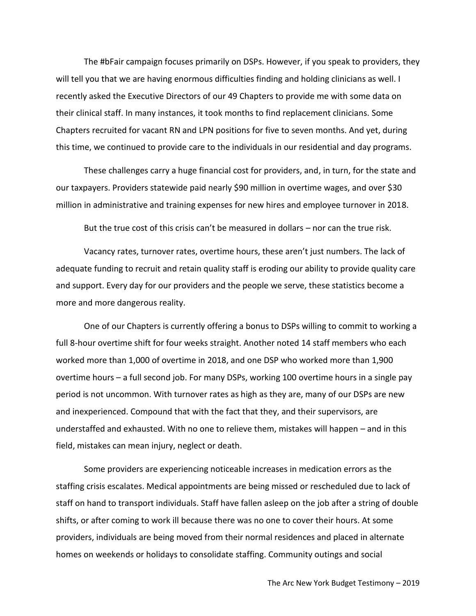The #bFair campaign focuses primarily on DSPs. However, if you speak to providers, they will tell you that we are having enormous difficulties finding and holding clinicians as well. I recently asked the Executive Directors of our 49 Chapters to provide me with some data on their clinical staff. In many instances, it took months to find replacement clinicians. Some Chapters recruited for vacant RN and LPN positions for five to seven months. And yet, during this time, we continued to provide care to the individuals in our residential and day programs.

These challenges carry a huge financial cost for providers, and, in turn, for the state and our taxpayers. Providers statewide paid nearly \$90 million in overtime wages, and over \$30 million in administrative and training expenses for new hires and employee turnover in 2018.

But the true cost of this crisis can't be measured in dollars – nor can the true risk.

Vacancy rates, turnover rates, overtime hours, these aren't just numbers. The lack of adequate funding to recruit and retain quality staff is eroding our ability to provide quality care and support. Every day for our providers and the people we serve, these statistics become a more and more dangerous reality.

One of our Chapters is currently offering a bonus to DSPs willing to commit to working a full 8-hour overtime shift for four weeks straight. Another noted 14 staff members who each worked more than 1,000 of overtime in 2018, and one DSP who worked more than 1,900 overtime hours – a full second job. For many DSPs, working 100 overtime hours in a single pay period is not uncommon. With turnover rates as high as they are, many of our DSPs are new and inexperienced. Compound that with the fact that they, and their supervisors, are understaffed and exhausted. With no one to relieve them, mistakes will happen – and in this field, mistakes can mean injury, neglect or death.

Some providers are experiencing noticeable increases in medication errors as the staffing crisis escalates. Medical appointments are being missed or rescheduled due to lack of staff on hand to transport individuals. Staff have fallen asleep on the job after a string of double shifts, or after coming to work ill because there was no one to cover their hours. At some providers, individuals are being moved from their normal residences and placed in alternate homes on weekends or holidays to consolidate staffing. Community outings and social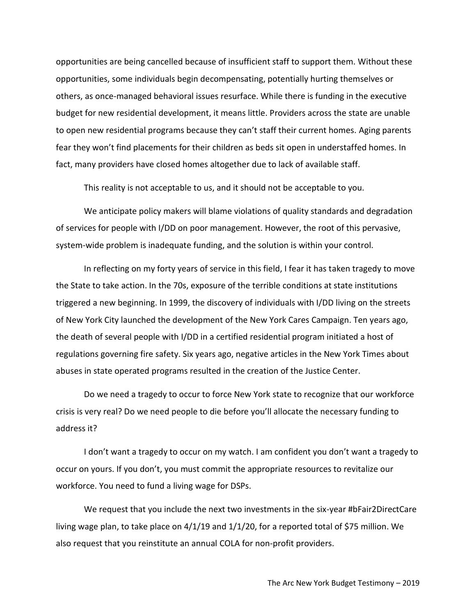opportunities are being cancelled because of insufficient staff to support them. Without these opportunities, some individuals begin decompensating, potentially hurting themselves or others, as once-managed behavioral issues resurface. While there is funding in the executive budget for new residential development, it means little. Providers across the state are unable to open new residential programs because they can't staff their current homes. Aging parents fear they won't find placements for their children as beds sit open in understaffed homes. In fact, many providers have closed homes altogether due to lack of available staff.

This reality is not acceptable to us, and it should not be acceptable to you.

We anticipate policy makers will blame violations of quality standards and degradation of services for people with I/DD on poor management. However, the root of this pervasive, system-wide problem is inadequate funding, and the solution is within your control.

In reflecting on my forty years of service in this field, I fear it has taken tragedy to move the State to take action. In the 70s, exposure of the terrible conditions at state institutions triggered a new beginning. In 1999, the discovery of individuals with I/DD living on the streets of New York City launched the development of the New York Cares Campaign. Ten years ago, the death of several people with I/DD in a certified residential program initiated a host of regulations governing fire safety. Six years ago, negative articles in the New York Times about abuses in state operated programs resulted in the creation of the Justice Center.

Do we need a tragedy to occur to force New York state to recognize that our workforce crisis is very real? Do we need people to die before you'll allocate the necessary funding to address it?

I don't want a tragedy to occur on my watch. I am confident you don't want a tragedy to occur on yours. If you don't, you must commit the appropriate resources to revitalize our workforce. You need to fund a living wage for DSPs.

We request that you include the next two investments in the six-year #bFair2DirectCare living wage plan, to take place on 4/1/19 and 1/1/20, for a reported total of \$75 million. We also request that you reinstitute an annual COLA for non-profit providers.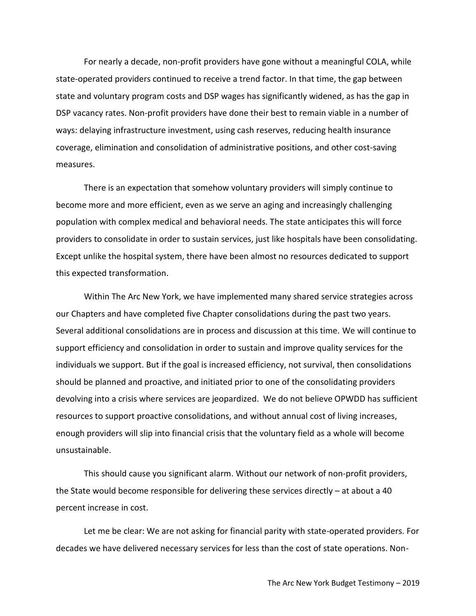For nearly a decade, non-profit providers have gone without a meaningful COLA, while state-operated providers continued to receive a trend factor. In that time, the gap between state and voluntary program costs and DSP wages has significantly widened, as has the gap in DSP vacancy rates. Non-profit providers have done their best to remain viable in a number of ways: delaying infrastructure investment, using cash reserves, reducing health insurance coverage, elimination and consolidation of administrative positions, and other cost-saving measures.

There is an expectation that somehow voluntary providers will simply continue to become more and more efficient, even as we serve an aging and increasingly challenging population with complex medical and behavioral needs. The state anticipates this will force providers to consolidate in order to sustain services, just like hospitals have been consolidating. Except unlike the hospital system, there have been almost no resources dedicated to support this expected transformation.

Within The Arc New York, we have implemented many shared service strategies across our Chapters and have completed five Chapter consolidations during the past two years. Several additional consolidations are in process and discussion at this time. We will continue to support efficiency and consolidation in order to sustain and improve quality services for the individuals we support. But if the goal is increased efficiency, not survival, then consolidations should be planned and proactive, and initiated prior to one of the consolidating providers devolving into a crisis where services are jeopardized. We do not believe OPWDD has sufficient resources to support proactive consolidations, and without annual cost of living increases, enough providers will slip into financial crisis that the voluntary field as a whole will become unsustainable.

This should cause you significant alarm. Without our network of non-profit providers, the State would become responsible for delivering these services directly – at about a 40 percent increase in cost.

Let me be clear: We are not asking for financial parity with state-operated providers. For decades we have delivered necessary services for less than the cost of state operations. Non